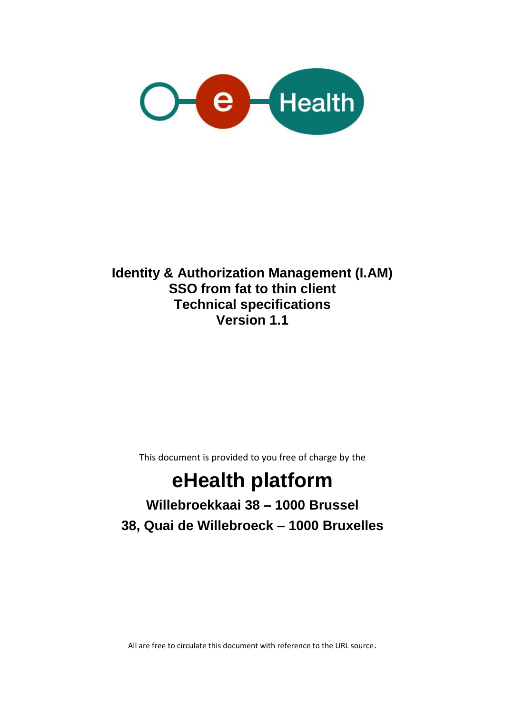

**Identity & Authorization Management (I.AM) SSO from fat to thin client Technical specifications Version 1.1**

This document is provided to you free of charge by the

# **eHealth platform**

**Willebroekkaai 38 – 1000 Brussel 38, Quai de Willebroeck – 1000 Bruxelles**

All are free to circulate this document with reference to the URL source.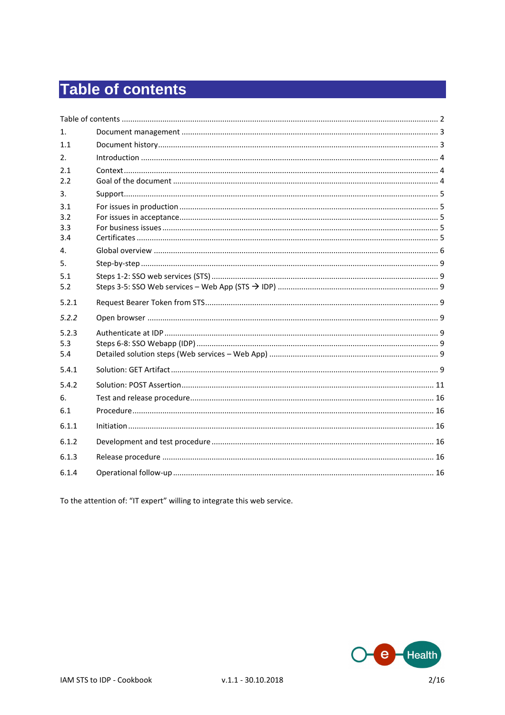# **Table of contents**

| 1 <sub>1</sub> |  |
|----------------|--|
| 1.1            |  |
| 2.             |  |
| 2.1            |  |
| 2.2            |  |
| 3.             |  |
| 3.1            |  |
| 3.2            |  |
| 3.3<br>3.4     |  |
| 4.             |  |
| 5.             |  |
| 5.1            |  |
| 5.2            |  |
| 5.2.1          |  |
| 5.2.2          |  |
| 5.2.3          |  |
| 5.3            |  |
|                |  |
| 5.4            |  |
| 5.4.1          |  |
| 5.4.2          |  |
| 6.             |  |
| 6.1            |  |
| 6.1.1          |  |
| 6.1.2          |  |
| 6.1.3          |  |

To the attention of: "IT expert" willing to integrate this web service.

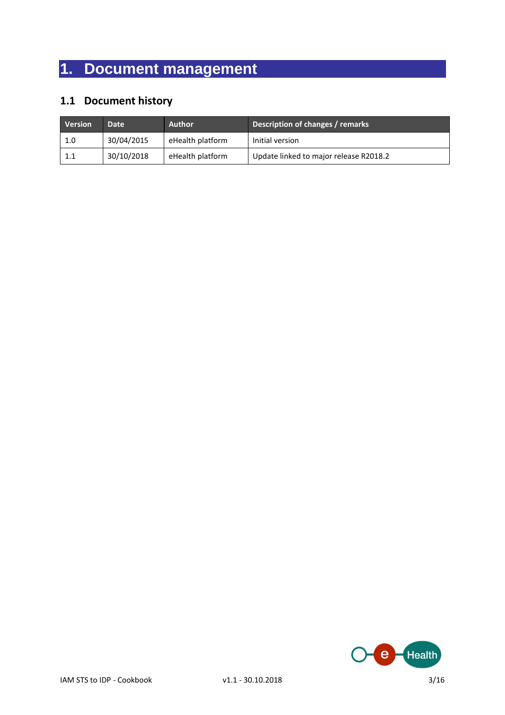# **1. Document management**

# **1.1 Document history**

| <b>Version</b> | <b>Date</b> | Author           | Description of changes / remarks       |
|----------------|-------------|------------------|----------------------------------------|
| 1.0            | 30/04/2015  | eHealth platform | Initial version                        |
| 1.1            | 30/10/2018  | eHealth platform | Update linked to major release R2018.2 |

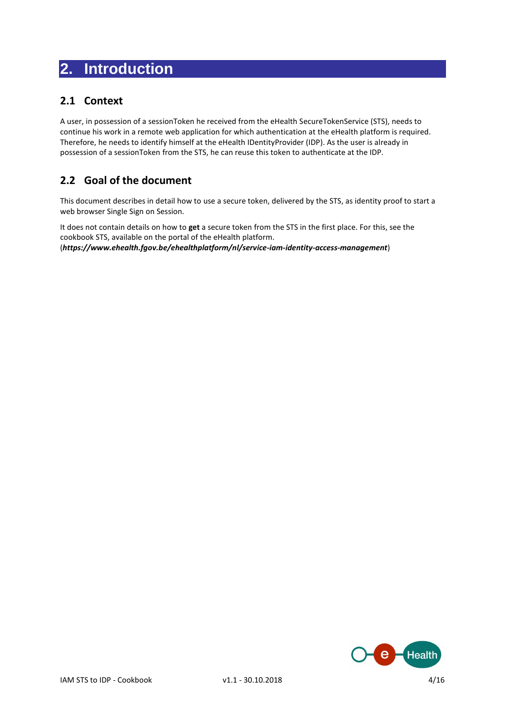# **2. Introduction**

# **2.1 Context**

A user, in possession of a sessionToken he received from the eHealth SecureTokenService (STS), needs to continue his work in a remote web application for which authentication at the eHealth platform is required. Therefore, he needs to identify himself at the eHealth IDentityProvider (IDP). As the user is already in possession of a sessionToken from the STS, he can reuse this token to authenticate at the IDP.

# **2.2 Goal of the document**

This document describes in detail how to use a secure token, delivered by the STS, as identity proof to start a web browser Single Sign on Session.

It does not contain details on how to **get** a secure token from the STS in the first place. For this, see the cookbook STS, available on the portal of the eHealth platform. (*https://www.ehealth.fgov.be/ehealthplatform/nl/service-iam-identity-access-management*)

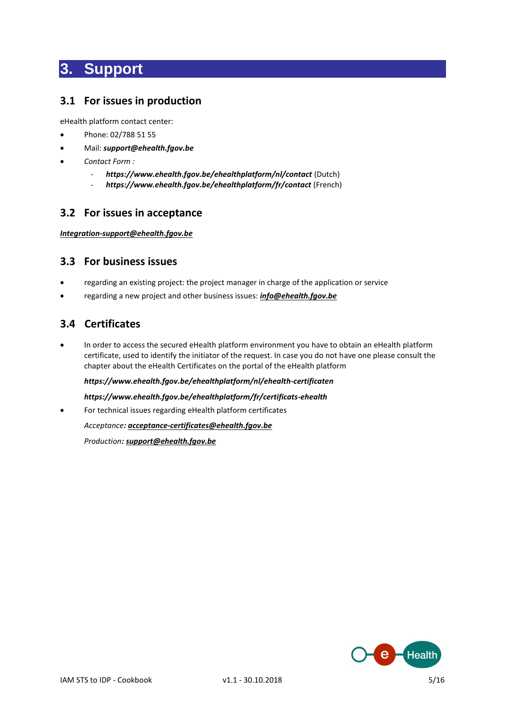# **3. Support**

## **3.1 For issues in production**

eHealth platform contact center:

- Phone: 02/788 51 55
- Mail: *[support@ehealth.fgov.be](mailto:support@ehealth.fgov.be)*
- *Contact Form :*
	- *<https://www.ehealth.fgov.be/ehealthplatform/nl/contact>* (Dutch)
	- *<https://www.ehealth.fgov.be/ehealthplatform/fr/contact>* (French)

### **3.2 For issues in acceptance**

#### *[Integration-support@ehealth.fgov.be](mailto:Integration-support@ehealth.fgov.be)*

### **3.3 For business issues**

- regarding an existing project: the project manager in charge of the application or service
- regarding a new project and other business issues: *[info@ehealth.fgov.be](mailto:info@ehealth.fgov.be)*

# **3.4 Certificates**

 In order to access the secured eHealth platform environment you have to obtain an eHealth platform certificate, used to identify the initiator of the request. In case you do not have one please consult the chapter about the eHealth Certificates on the portal of the eHealth platform

#### *[https://www.ehealth.fgov.be/ehealthplatform/nl/ehealth-certificaten](https://www.ehealth.fgov.be/ehealthplatform/nl/search?q=&filter%5Bplatform_service%3A19842c7fad26fe4e90179efc7895851fb9f086fb%5D=on)*

#### *[https://www.ehealth.fgov.be/ehealthplatform/fr/certificats-ehealth](https://www.ehealth.fgov.be/ehealthplatform/fr/search?q=&filter%5Bplatform_service%3A19842c7fad26fe4e90179efc7895851fb9f086fb%5D=on)*

For technical issues regarding eHealth platform certificates

*Acceptance: [acceptance-certificates@ehealth.fgov.be](mailto:acceptance-certificates@ehealth.fgov.be)*

*Production: support@ehealth.fgov.be*

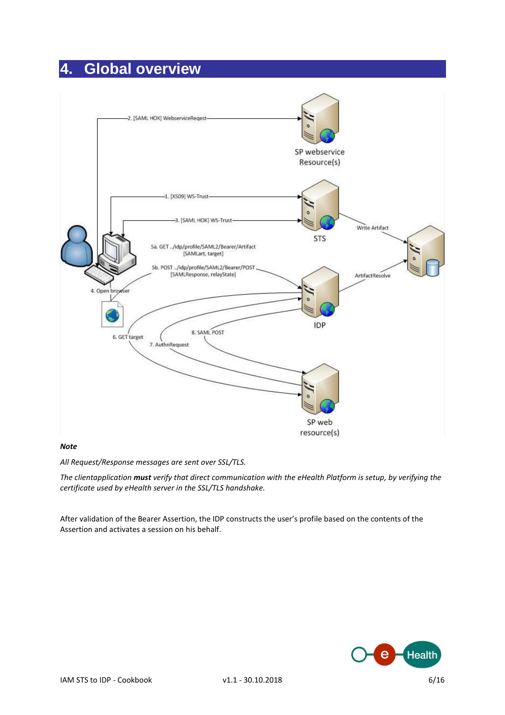# **4. Global overview**



#### *Note*

*All Request/Response messages are sent over SSL/TLS.*

*The clientapplication must verify that direct communication with the eHealth Platform is setup, by verifying the certificate used by eHealth server in the SSL/TLS handshake.*

After validation of the Bearer Assertion, the IDP constructs the user's profile based on the contents of the Assertion and activates a session on his behalf.

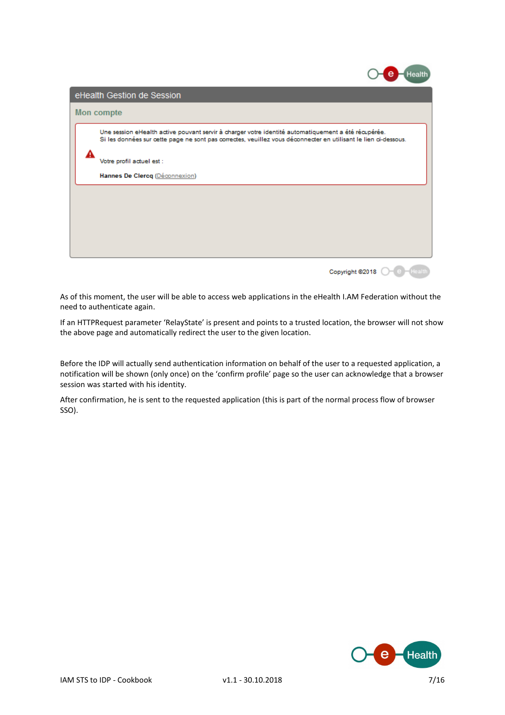

As of this moment, the user will be able to access web applications in the eHealth I.AM Federation without the need to authenticate again.

If an HTTPRequest parameter 'RelayState' is present and points to a trusted location, the browser will not show the above page and automatically redirect the user to the given location.

Before the IDP will actually send authentication information on behalf of the user to a requested application, a notification will be shown (only once) on the 'confirm profile' page so the user can acknowledge that a browser session was started with his identity.

After confirmation, he is sent to the requested application (this is part of the normal process flow of browser SSO).

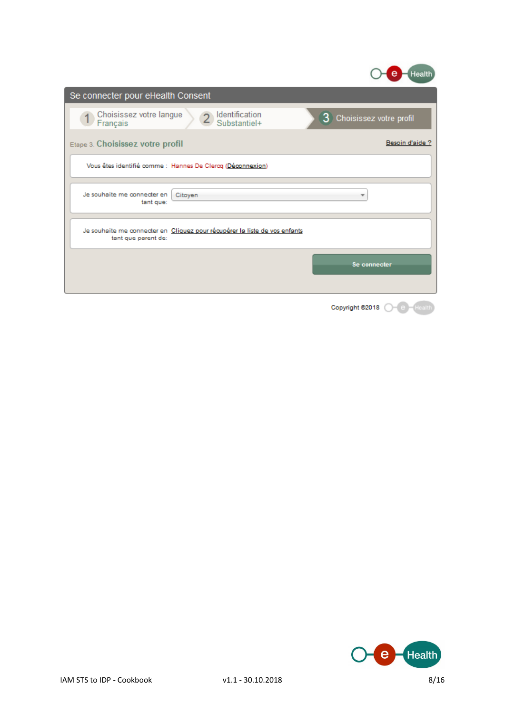| Se connecter pour eHealth Consent                                                                 |                           |
|---------------------------------------------------------------------------------------------------|---------------------------|
| Choisissez votre langue<br>Identification<br>Substantiel+<br>Français                             | 3 Choisissez votre profil |
| Etape 3. Choisissez votre profil                                                                  | Besoin d'aide ?           |
| Vous êtes identifié comme : Hannes De Clercq (Déconnexion)                                        |                           |
| Je souhaite me connecter en<br>Citoyen<br>tant que:                                               |                           |
| Je souhaite me connecter en Cliquez pour récupérer la liste de vos enfants<br>tant que parent de: |                           |
|                                                                                                   | Se connecter              |
|                                                                                                   | Copyright @2018           |

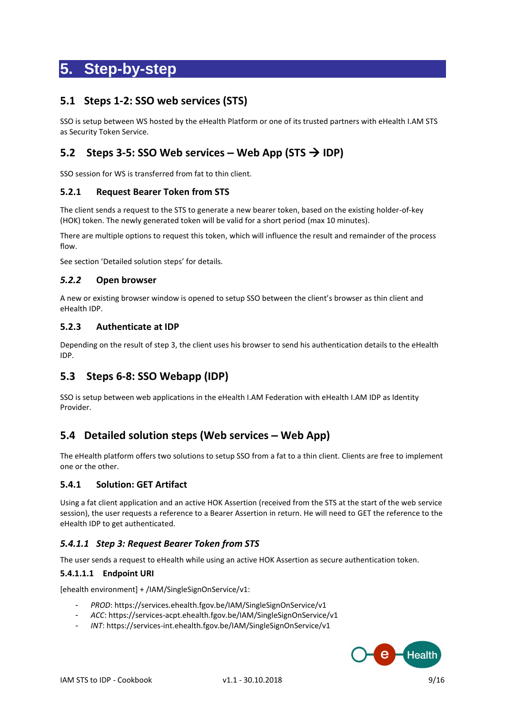# **5. Step-by-step**

## **5.1 Steps 1-2: SSO web services (STS)**

SSO is setup between WS hosted by the eHealth Platform or one of its trusted partners with eHealth I.AM STS as Security Token Service.

# **5.2 Steps 3-5: SSO Web services – Web App (STS**  $\rightarrow$  **IDP)**

SSO session for WS is transferred from fat to thin client.

#### **5.2.1 Request Bearer Token from STS**

The client sends a request to the STS to generate a new bearer token, based on the existing holder-of-key (HOK) token. The newly generated token will be valid for a short period (max 10 minutes).

There are multiple options to request this token, which will influence the result and remainder of the process flow.

See section '[Detailed solution steps](#page-8-0)' for details.

#### *5.2.2* **Open browser**

A new or existing browser window is opened to setup SSO between the client's browser as thin client and eHealth IDP.

#### **5.2.3 Authenticate at IDP**

Depending on the result of step 3, the client uses his browser to send his authentication details to the eHealth IDP.

# **5.3 Steps 6-8: SSO Webapp (IDP)**

SSO is setup between web applications in the eHealth I.AM Federation with eHealth I.AM IDP as Identity Provider.

# <span id="page-8-0"></span>**5.4 Detailed solution steps (Web services – Web App)**

The eHealth platform offers two solutions to setup SSO from a fat to a thin client. Clients are free to implement one or the other.

#### **5.4.1 Solution: GET Artifact**

Using a fat client application and an active HOK Assertion (received from the STS at the start of the web service session), the user requests a reference to a Bearer Assertion in return. He will need to GET the reference to the eHealth IDP to get authenticated.

### *5.4.1.1 Step 3: Request Bearer Token from STS*

The user sends a request to eHealth while using an active HOK Assertion as secure authentication token.

#### **5.4.1.1.1 Endpoint URI**

[ehealth environment] + /IAM/SingleSignOnService/v1:

- *PROD*:<https://services.ehealth.fgov.be/IAM/SingleSignOnService/v1>
- *ACC*:<https://services-acpt.ehealth.fgov.be/IAM/SingleSignOnService/v1>
- *INT*[: https://services-int.ehealth.fgov.be/IAM/SingleSignOnService/v1](https://services-int.ehealth.fgov.be/IAM/SingleSignOnService/v1)

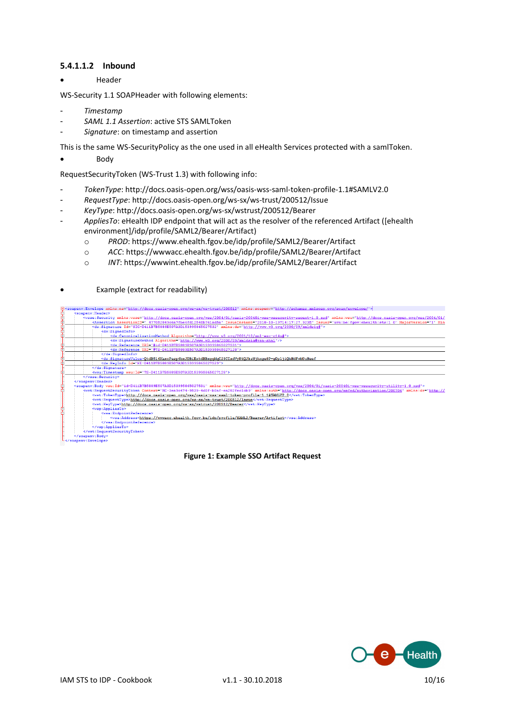#### **5.4.1.1.2 Inbound**

Header

WS-Security 1.1 SOAPHeader with following elements:

- *Timestamp*
- *SAML 1.1 Assertion*: active STS SAMLToken
- *Signature*: on timestamp and assertion

This is the same WS-SecurityPolicy as the one used in all eHealth Services protected with a samlToken.

• Body

RequestSecurityToken (WS-Trust 1.3) with following info:

- *TokenType*: http://docs.oasis-open.org/wss/oasis-wss-saml-token-profile-1.1#SAMLV2.0
- *RequestType*: http://docs.oasis-open.org/ws-sx/ws-trust/200512/Issue
- *KeyType*: http://docs.oasis-open.org/ws-sx/wstrust/200512/Bearer
- *AppliesTo*: eHealth IDP endpoint that will act as the resolver of the referenced Artifact ([ehealth environment]/idp/profile/SAML2/Bearer/Artifact)
	- o *PROD*: [https://www.ehealth.fgov.be/idp/profile/SAML2/Bearer/Artifact](https://www.ehealth.fgov.be/idp/Authn/SSO/SAML2/Artifact)
	- o *ACC*: [https://wwwacc.ehealth.fgov.be/idp/profile/SAML2/Bearer/Artifact](https://wwwacc.ehealth.fgov.be/idp/Authn/SSO/SAML2/Artifact)
	- o *INT*[: https://wwwint.ehealth.fgov.be/idp/profile/SAML2/Bearer/Artifact](https://wwwint.ehealth.fgov.be/idp/Authn/SSO/SAML2/Artifact)

#### Example (extract for readability)

| H <soapenv:envelope xmlns:ns="http://docs.oasis-open.org/ws-sx/ws-trust/200512" xmlns:soapenv="http://schemas.xmlsoap.org/soap/envelope/"></soapenv:envelope>                                                                                                                                                                                                                                                       |
|---------------------------------------------------------------------------------------------------------------------------------------------------------------------------------------------------------------------------------------------------------------------------------------------------------------------------------------------------------------------------------------------------------------------|
| ₿<br><soapenv:header></soapenv:header>                                                                                                                                                                                                                                                                                                                                                                              |
| <wsse:security 477052849c6a7fbe6fd12540b761ad5a"="" issueinstant="2018-10-19T14:17:27.923Z" issuer="urn:be:fgov:ehealth:sts:1 0" majorversion="1" min<="" th="" xmlns:wsse="http://docs.oasis-open.org/wss/2004/01/oasis-200401-wss-wssecurity-secext-1.0.xsd" xmlns:wsu="http://docs.oasis-open.org/wss/2004/01/&lt;/th&gt;&lt;/tr&gt;&lt;tr&gt;&lt;th&gt;Ħ.&lt;br&gt;&lt;Assertion AssertionID="></wsse:security> |
| Ė.<br><ds:signature id="SIG-D411B7B5889E507A3D153995865027532" xmlns:ds="http://www.w3.org/2000/09/xmldsig#"></ds:signature>                                                                                                                                                                                                                                                                                        |
| Ė<br><ds:signedinfo></ds:signedinfo>                                                                                                                                                                                                                                                                                                                                                                                |
| d.<br><ds:canonicalizationmethod algorithm="http://www.w3.org/2001/10/xml-exc-c14n#"></ds:canonicalizationmethod>                                                                                                                                                                                                                                                                                                   |
| <ds:signaturemethod algorithm="http://www.w3.org/2000/09/xmldsig#rsa-sha1"></ds:signaturemethod>                                                                                                                                                                                                                                                                                                                    |
| <ds:reference uri="#id-D411B7B5889E507A3D153995865027531"></ds:reference>                                                                                                                                                                                                                                                                                                                                           |
| <ds:reference uri="#TS-D411B7B5889E507A3D153995865027128"></ds:reference>                                                                                                                                                                                                                                                                                                                                           |
|                                                                                                                                                                                                                                                                                                                                                                                                                     |
| <ds:signaturevalue>QtdB516KaxcPasp6bxJDBiExtdBBxgqMqC23CIxdVyN4QJksNjhxqe8P+qDp1j1QhHdFwM0uHeef</ds:signaturevalue>                                                                                                                                                                                                                                                                                                 |
| <ds:keyinfo id="KI-D411B7B5889E507A3D153995865027529"></ds:keyinfo>                                                                                                                                                                                                                                                                                                                                                 |
|                                                                                                                                                                                                                                                                                                                                                                                                                     |
| <wsu:timestamp wsu:id="TS-D411B7B5889E507A3D153995865027128"></wsu:timestamp>                                                                                                                                                                                                                                                                                                                                       |
|                                                                                                                                                                                                                                                                                                                                                                                                                     |
|                                                                                                                                                                                                                                                                                                                                                                                                                     |
| Ġ<br><soapenv:body wsu:id="id-D411B7B5889E507A3D153995865027531" xmlns:wsu="http://docs.oasis-open.org/wss/2004/01/oasis-200401-wss-wssecurity-utility-1.0.xsd"></soapenv:body>                                                                                                                                                                                                                                     |
| <wst:RequestSecurityToken Context="RC-3ea9c474-9539-4d0f-b0af-ea282fec1cb9" xmlns:auth="http://docs.oasis-open.org/wsfed/authorization/200706" xmlns:ds="http://</th>                                                                                                                                                                                                                                               |
| <wst:tokentype>http://docs.oasis-open.org/wss/oasis-wss-saml-token-profile-1.1#SAMLV2.0</wst:tokentype>                                                                                                                                                                                                                                                                                                             |
| <wst:requesttype>http://docs.oasis-open.org/ws-sx/ws-trust/200512/Issue</wst:requesttype>                                                                                                                                                                                                                                                                                                                           |
| <wst:keytype>http://docs.oasis-open.org/ws-sx/wstrust/200512/Bearer</wst:keytype>                                                                                                                                                                                                                                                                                                                                   |
| ₿<br><wsp:appliesto></wsp:appliesto>                                                                                                                                                                                                                                                                                                                                                                                |
| <wsa:endpointreference></wsa:endpointreference>                                                                                                                                                                                                                                                                                                                                                                     |
| <wsa:address>https://wwwacc.ehealth.fqov.be/idp/profile/SAML2/Bearer/Artifact</wsa:address>                                                                                                                                                                                                                                                                                                                         |
|                                                                                                                                                                                                                                                                                                                                                                                                                     |
|                                                                                                                                                                                                                                                                                                                                                                                                                     |
|                                                                                                                                                                                                                                                                                                                                                                                                                     |
|                                                                                                                                                                                                                                                                                                                                                                                                                     |
| -                                                                                                                                                                                                                                                                                                                                                                                                                   |

**Figure 1: Example SSO Artifact Request**

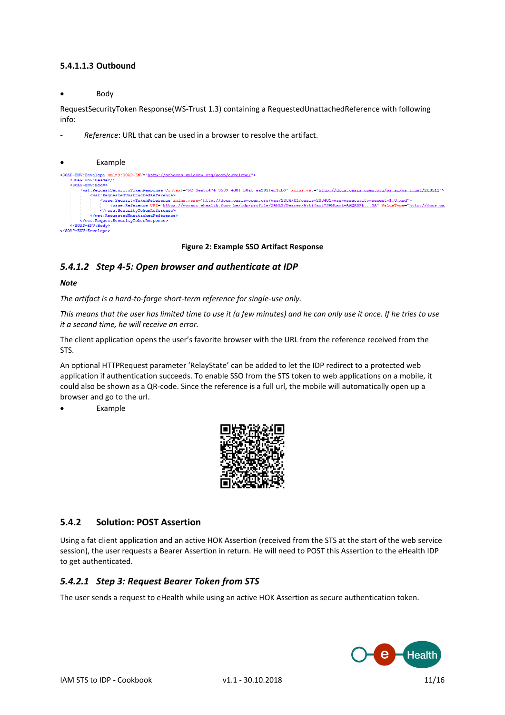#### **5.4.1.1.3 Outbound**

Body

RequestSecurityToken Response(WS-Trust 1.3) containing a RequestedUnattachedReference with following info:

Reference: URL that can be used in a browser to resolve the artifact.

```
 Example
<SOAP-ENV:Envelope xmlns:SOAP-ENV="http://schemas.xmlsoap.org/soap/envelope/"><SOAP-ENV:Header/>
```
#### **Figure 2: Example SSO Artifact Response**

### *5.4.1.2 Step 4-5: Open browser and authenticate at IDP*

#### *Note*

*The artifact is a hard-to-forge short-term reference for single-use only.*

*This means that the user has limited time to use it (a few minutes) and he can only use it once. If he tries to use it a second time, he will receive an error.*

The client application opens the user's favorite browser with the URL from the reference received from the STS.

An optional HTTPRequest parameter 'RelayState' can be added to let the IDP redirect to a protected web application if authentication succeeds. To enable SSO from the STS token to web applications on a mobile, it could also be shown as a QR-code. Since the reference is a full url, the mobile will automatically open up a browser and go to the url.

Example



### **5.4.2 Solution: POST Assertion**

Using a fat client application and an active HOK Assertion (received from the STS at the start of the web service session), the user requests a Bearer Assertion in return. He will need to POST this Assertion to the eHealth IDP to get authenticated.

#### *5.4.2.1 Step 3: Request Bearer Token from STS*

The user sends a request to eHealth while using an active HOK Assertion as secure authentication token.

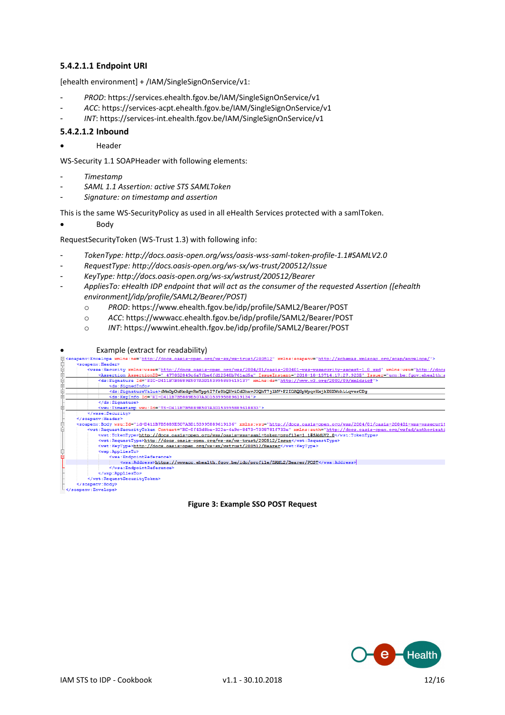#### **5.4.2.1.1 Endpoint URI**

[ehealth environment] + /IAM/SingleSignOnService/v1:

- *PROD*[: https://services.ehealth.fgov.be/IAM/SingleSignOnService/v1](https://services.ehealth.fgov.be/IAM/SingleSignOnService/v1)
- *ACC*[: https://services-acpt.ehealth.fgov.be/IAM/SingleSignOnService/v1](https://services-acpt.ehealth.fgov.be/IAM/SingleSignOnService/v1)
- *INT*:<https://services-int.ehealth.fgov.be/IAM/SingleSignOnService/v1>

#### **5.4.2.1.2 Inbound**

Header

WS-Security 1.1 SOAPHeader with following elements:

- *Timestamp*
- *SAML 1.1 Assertion: active STS SAMLToken*
- *Signature: on timestamp and assertion*

This is the same WS-SecurityPolicy as used in all eHealth Services protected with a samlToken.

• Body

RequestSecurityToken (WS-Trust 1.3) with following info:

- *TokenType: http://docs.oasis-open.org/wss/oasis-wss-saml-token-profile-1.1#SAMLV2.0*
- *RequestType: http://docs.oasis-open.org/ws-sx/ws-trust/200512/Issue*
- *KeyType: http://docs.oasis-open.org/ws-sx/wstrust/200512/Bearer*
- *AppliesTo: eHealth IDP endpoint that will act as the consumer of the requested Assertion ([ehealth environment]/idp/profile/SAML2/Bearer/POST)*
	- o *PROD*: [https://www.ehealth.fgov.be/idp/profile/SAML2/Bearer/POST](https://www.ehealth.fgov.be/idp/Authn/SSO/SAML2/POST)
	- o *ACC*: [https://wwwacc.ehealth.fgov.be/idp/profile/SAML2/Bearer/POST](https://wwwacc.ehealth.fgov.be/idp/Authn/SSO/SAML2/POST)
	- o *INT*[: https://wwwint.ehealth.fgov.be/idp/profile/SAML2/Bearer/POST](https://wwwint.ehealth.fgov.be/idp/Authn/SSO/SAML2/POST)
- Example (extract for readability)

| Soapenv:Envelope xmlns:ns="http://docs.oasis-open.org/ws-sx/ws-trust/200512" xmlns:soapenv="http://schemas.xmlsoap.org/soap/envelope/">                                                                                                                                                                                                                                                                                                                                                      |  |  |  |  |
|----------------------------------------------------------------------------------------------------------------------------------------------------------------------------------------------------------------------------------------------------------------------------------------------------------------------------------------------------------------------------------------------------------------------------------------------------------------------------------------------|--|--|--|--|
| <soapenv:header></soapenv:header>                                                                                                                                                                                                                                                                                                                                                                                                                                                            |  |  |  |  |
| <wsse:security 477052849c6a7fbe6fd12540b761ad5a"="" issueinstant="2018-10-19T14:17:27.923Z" issuer="urn:be:fgov:ehealth:a&lt;/th&gt;&lt;/tr&gt;&lt;tr&gt;&lt;th&gt;&lt;ds:Signature Id=" sig-d411b7b5889e507a3d153995889619137"="" xmlns:ds="http://www.w3.org/2000/09/xmldsig#" xmlns:wsse="http://docs.oasis-open.org/wss/2004/01/oasis-200401-wss-wssecurity-secext-1.0.xsd" xmlns:wsu="http://docs&lt;/th&gt;&lt;/tr&gt;&lt;tr&gt;&lt;th&gt;&lt;Assertion AssertionID="></wsse:security> |  |  |  |  |
| <ds:signedinfo></ds:signedinfo>                                                                                                                                                                                                                                                                                                                                                                                                                                                              |  |  |  |  |
| <ds:signaturevalue>dWmOpOuNxdqvRmTpptI7fz0bQKviCdDhnvJ3QhT7jlMV+F2IOAQSpWpqrKxjkE8XWohLLqverCDq</ds:signaturevalue>                                                                                                                                                                                                                                                                                                                                                                          |  |  |  |  |
| <ds:keyinfo id="KI-D411B7B5889E507A3D153995889619134"></ds:keyinfo>                                                                                                                                                                                                                                                                                                                                                                                                                          |  |  |  |  |
|                                                                                                                                                                                                                                                                                                                                                                                                                                                                                              |  |  |  |  |
| <wsu:timestamp wsu:id="TS-D411B7B5889E507A3D153995889618833"></wsu:timestamp>                                                                                                                                                                                                                                                                                                                                                                                                                |  |  |  |  |
|                                                                                                                                                                                                                                                                                                                                                                                                                                                                                              |  |  |  |  |
|                                                                                                                                                                                                                                                                                                                                                                                                                                                                                              |  |  |  |  |
| <soapenv:Body wsu:Id="id-D411B7B5889E507A3D153995889619136" xmlns:wsu="http://docs.oasis-open.org/wss/2004/01/oasis-200401-wss-wssecurit</th>                                                                                                                                                                                                                                                                                                                                                |  |  |  |  |
| <wst:RequestSecurityToken Context="RC-0f43d8be-322e-4a9c-8473-7308781f733e" xmlns:auth="http://docs.oasis-open.org/wsfed/authorizati</td>                                                                                                                                                                                                                                                                                                                                                    |  |  |  |  |
| <wst:tokentype>http://docs.oasis-open.org/wss/oasis-wss-saml-token-profile-1.1#SAMLV2.0</wst:tokentype>                                                                                                                                                                                                                                                                                                                                                                                      |  |  |  |  |
| <wst:requesttype>http://docs.oasis-open.org/ws-sx/ws-trust/200512/Issue</wst:requesttype>                                                                                                                                                                                                                                                                                                                                                                                                    |  |  |  |  |
| <wst:keytype>http://docs.oasis-open.org/ws-sx/wstrust/200512/Bearer</wst:keytype>                                                                                                                                                                                                                                                                                                                                                                                                            |  |  |  |  |
| <wsp:appliesto></wsp:appliesto>                                                                                                                                                                                                                                                                                                                                                                                                                                                              |  |  |  |  |
| <wsa:endpointreference></wsa:endpointreference>                                                                                                                                                                                                                                                                                                                                                                                                                                              |  |  |  |  |
| <wsa:address>https://www.acc.ehealth.fgov.be/idp/profile/SAML2/Bearer/POST</wsa:address>                                                                                                                                                                                                                                                                                                                                                                                                     |  |  |  |  |
|                                                                                                                                                                                                                                                                                                                                                                                                                                                                                              |  |  |  |  |
|                                                                                                                                                                                                                                                                                                                                                                                                                                                                                              |  |  |  |  |
|                                                                                                                                                                                                                                                                                                                                                                                                                                                                                              |  |  |  |  |
|                                                                                                                                                                                                                                                                                                                                                                                                                                                                                              |  |  |  |  |
|                                                                                                                                                                                                                                                                                                                                                                                                                                                                                              |  |  |  |  |
|                                                                                                                                                                                                                                                                                                                                                                                                                                                                                              |  |  |  |  |

#### **Figure 3: Example SSO POST Request**

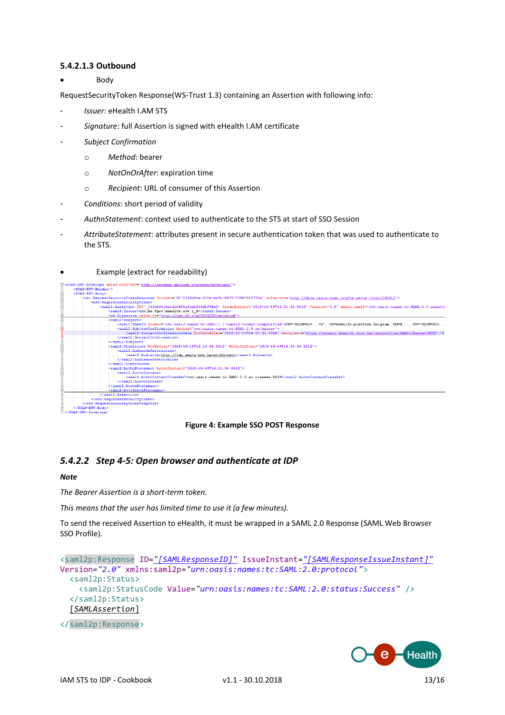#### **5.4.2.1.3 Outbound**

• Body

RequestSecurityToken Response(WS-Trust 1.3) containing an Assertion with following info:

- *Issuer*: eHealth I.AM STS
- *Signature*: full Assertion is signed with eHealth I.AM certificate
- *Subject Confirmation* 
	- o *Method*: bearer
	- o *NotOnOrAfter*: expiration time
	- o *Recipient*: URL of consumer of this Assertion
- *Conditions*: short period of validity
- *AuthnStatement*: context used to authenticate to the STS at start of SSO Session
- *AttributeStatement*: attributes present in secure authentication token that was used to authenticate to the STS.



#### **Figure 4: Example SSO POST Response**

#### *5.4.2.2 Step 4-5: Open browser and authenticate at IDP*

#### *Note*

*The Bearer Assertion is a short-term token.*

*This means that the user has limited time to use it (a few minutes).*

To send the received Assertion to eHealth, it must be wrapped in a SAML 2.0 Response (SAML Web Browser SSO Profile).

```
<saml2p:Response ID="[SAMLResponseID]" IssueInstant="[SAMLResponseIssueInstant]"
Version="2.0" xmlns:saml2p="urn:oasis:names:tc:SAML:2.0:protocol">
   <saml2p:Status>
     <saml2p:StatusCode Value="urn:oasis:names:tc:SAML:2.0:status:Success" />
   </saml2p:Status>
   [SAMLAssertion]
```
</saml2p:Response>

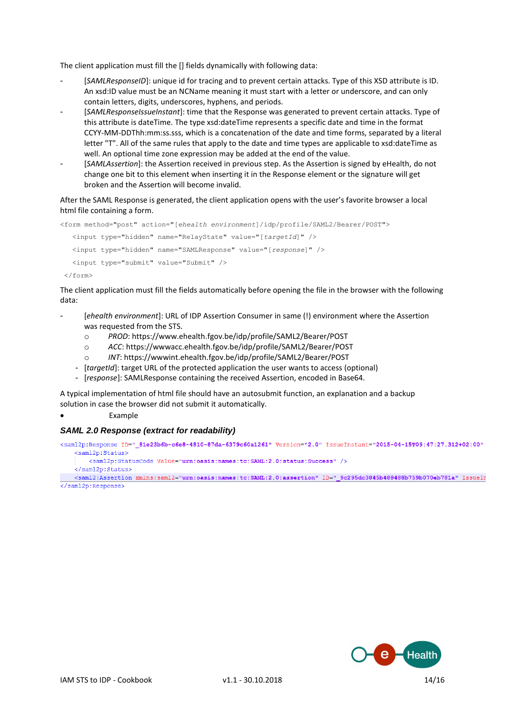The client application must fill the [] fields dynamically with following data:

- [*SAMLResponseID*]: unique id for tracing and to prevent certain attacks. Type of this XSD attribute is ID. An xsd:ID value must be an NCName meaning it must start with a letter or underscore, and can only contain letters, digits, underscores, hyphens, and periods.
- [*SAMLResponseIssueInstant*]: time that the Response was generated to prevent certain attacks. Type of this attribute is dateTime. The type xsd:dateTime represents a specific date and time in the format CCYY-MM-DDThh:mm:ss.sss, which is a concatenation of the date and time forms, separated by a literal letter "T". All of the same rules that apply to the date and time types are applicable to xsd:dateTime as well. An optional time zone expression may be added at the end of the value.
- [*SAMLAssertion*]: the Assertion received in previous step. As the Assertion is signed by eHealth, do not change one bit to this element when inserting it in the Response element or the signature will get broken and the Assertion will become invalid.

After the SAML Response is generated, the client application opens with the user's favorite browser a local html file containing a form.

```
<form method="post" action="[ehealth environment]/idp/profile/SAML2/Bearer/POST">
    <input type="hidden" name="RelayState" value="[targetId]" />
    <input type="hidden" name="SAMLResponse" value="[response]" />
    <input type="submit" value="Submit" />
\langle/form>
```
The client application must fill the fields automatically before opening the file in the browser with the following data:

- [*ehealth environment*]: URL of IDP Assertion Consumer in same (!) environment where the Assertion was requested from the STS.
	- o *PROD*: [https://www.ehealth.fgov.be/idp/profile/SAML2/Bearer/POST](https://www.ehealth.fgov.be/idp/Authn/SSO/SAML2/POST)
	- o *ACC*: [https://wwwacc.ehealth.fgov.be/idp/profile/SAML2/Bearer/POST](https://wwwacc.ehealth.fgov.be/idp/Authn/SSO/SAML2/POST)
	- o *INT*[: https://wwwint.ehealth.fgov.be/idp/profile/SAML2/Bearer/POST](https://wwwint.ehealth.fgov.be/idp/Authn/SSO/SAML2/POST)
	- [*targetId*]: target URL of the protected application the user wants to access (optional)
	- [*response*]: SAMLResponse containing the received Assertion, encoded in Base64.

A typical implementation of html file should have an autosubmit function, an explanation and a backup solution in case the browser did not submit it automatically.

Example

#### *SAML 2.0 Response (extract for readability)*

```
<saml2p:Response ID=" 81e23b6b-c6e8-4810-87da-6379c60a1261" Version="2.0" IssueInstant="2015-04-15T09:47:27.312+02:00"
    <saml2p:Status>
       <saml2p:StatusCode Value="urn:oasis:names:tc:SAML:2.0:status:Success" />
    </saml2p:Status>
```
<saml2:Assertion xmlns:saml2="urn:oasis:names:tc:SAML:2.0:assertion" ID="\_9c295dc3845b488488b759b070eb781a" IssueIn </saml2p:Response>

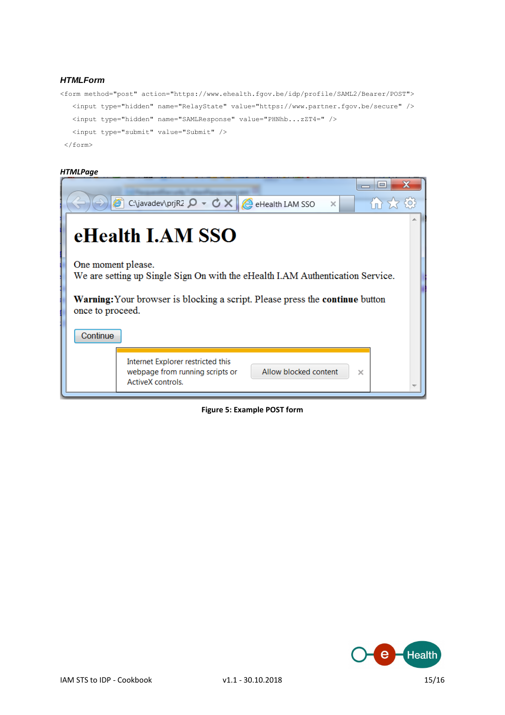### *HTMLForm*

```
<form method="post" action="https://www.ehealth.fgov.be/idp/profile/SAML2/Bearer/POST">
   <input type="hidden" name="RelayState" value="https://www.partner.fgov.be/secure" />
    <input type="hidden" name="SAMLResponse" value="PHNhb...zZT4=" />
   <input type="submit" value="Submit" />
 </form>
```
#### *HTMLPage*

|                                                                                                                | C:\javadev\prjR2 $\mathcal{Q}$ $\mathbf{<}$ $\mathcal{C}$ $\times$ $\mathcal{C}$ eHealth LAM SSO<br>而对<br>$\times$             |  |  |  |
|----------------------------------------------------------------------------------------------------------------|--------------------------------------------------------------------------------------------------------------------------------|--|--|--|
| eHealth LAM SSO                                                                                                |                                                                                                                                |  |  |  |
| One moment please.<br>We are setting up Single Sign On with the eHealth I.AM Authentication Service.           |                                                                                                                                |  |  |  |
| <b>Warning:</b> Your browser is blocking a script. Please press the <b>continue</b> button<br>once to proceed. |                                                                                                                                |  |  |  |
| Continue                                                                                                       |                                                                                                                                |  |  |  |
|                                                                                                                | Internet Explorer restricted this<br>Allow blocked content<br>webpage from running scripts or<br>$\times$<br>ActiveX controls. |  |  |  |

#### **Figure 5: Example POST form**